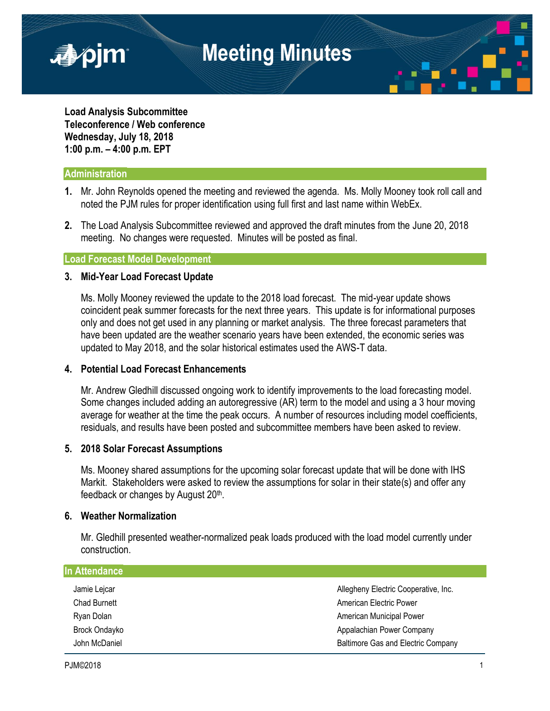

**Load Analysis Subcommittee Teleconference / Web conference Wednesday, July 18, 2018 1:00 p.m. – 4:00 p.m. EPT**

## **Administration**

■pjm

- **1.** Mr. John Reynolds opened the meeting and reviewed the agenda. Ms. Molly Mooney took roll call and noted the PJM rules for proper identification using full first and last name within WebEx.
- **2.** The Load Analysis Subcommittee reviewed and approved the draft minutes from the June 20, 2018 meeting. No changes were requested. Minutes will be posted as final.

## **Load Forecast Model Development**

## **3. Mid-Year Load Forecast Update**

Ms. Molly Mooney reviewed the update to the 2018 load forecast. The mid-year update shows coincident peak summer forecasts for the next three years. This update is for informational purposes only and does not get used in any planning or market analysis. The three forecast parameters that have been updated are the weather scenario years have been extended, the economic series was updated to May 2018, and the solar historical estimates used the AWS-T data.

## **4. Potential Load Forecast Enhancements**

Mr. Andrew Gledhill discussed ongoing work to identify improvements to the load forecasting model. Some changes included adding an autoregressive (AR) term to the model and using a 3 hour moving average for weather at the time the peak occurs. A number of resources including model coefficients, residuals, and results have been posted and subcommittee members have been asked to review.

## **5. 2018 Solar Forecast Assumptions**

Ms. Mooney shared assumptions for the upcoming solar forecast update that will be done with IHS Markit. Stakeholders were asked to review the assumptions for solar in their state(s) and offer any feedback or changes by August 20<sup>th</sup>.

## **6. Weather Normalization**

Mr. Gledhill presented weather-normalized peak loads produced with the load model currently under construction.

| <b>In Attendance</b> |                                           |
|----------------------|-------------------------------------------|
| Jamie Lejcar         | Allegheny Electric Cooperative, Inc.      |
| <b>Chad Burnett</b>  | American Electric Power                   |
| Ryan Dolan           | <b>American Municipal Power</b>           |
| <b>Brock Ondayko</b> | Appalachian Power Company                 |
| John McDaniel        | <b>Baltimore Gas and Electric Company</b> |
|                      |                                           |